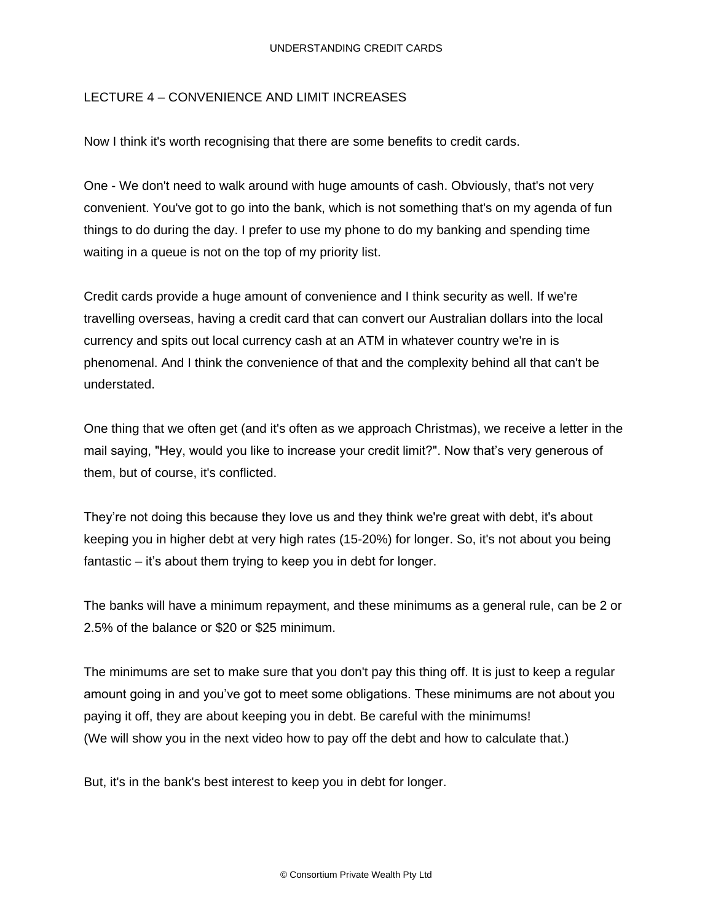## LECTURE 4 – CONVENIENCE AND LIMIT INCREASES

Now I think it's worth recognising that there are some benefits to credit cards.

One - We don't need to walk around with huge amounts of cash. Obviously, that's not very convenient. You've got to go into the bank, which is not something that's on my agenda of fun things to do during the day. I prefer to use my phone to do my banking and spending time waiting in a queue is not on the top of my priority list.

Credit cards provide a huge amount of convenience and I think security as well. If we're travelling overseas, having a credit card that can convert our Australian dollars into the local currency and spits out local currency cash at an ATM in whatever country we're in is phenomenal. And I think the convenience of that and the complexity behind all that can't be understated.

One thing that we often get (and it's often as we approach Christmas), we receive a letter in the mail saying, "Hey, would you like to increase your credit limit?". Now that's very generous of them, but of course, it's conflicted.

They're not doing this because they love us and they think we're great with debt, it's about keeping you in higher debt at very high rates (15-20%) for longer. So, it's not about you being fantastic – it's about them trying to keep you in debt for longer.

The banks will have a minimum repayment, and these minimums as a general rule, can be 2 or 2.5% of the balance or \$20 or \$25 minimum.

The minimums are set to make sure that you don't pay this thing off. It is just to keep a regular amount going in and you've got to meet some obligations. These minimums are not about you paying it off, they are about keeping you in debt. Be careful with the minimums! (We will show you in the next video how to pay off the debt and how to calculate that.)

But, it's in the bank's best interest to keep you in debt for longer.